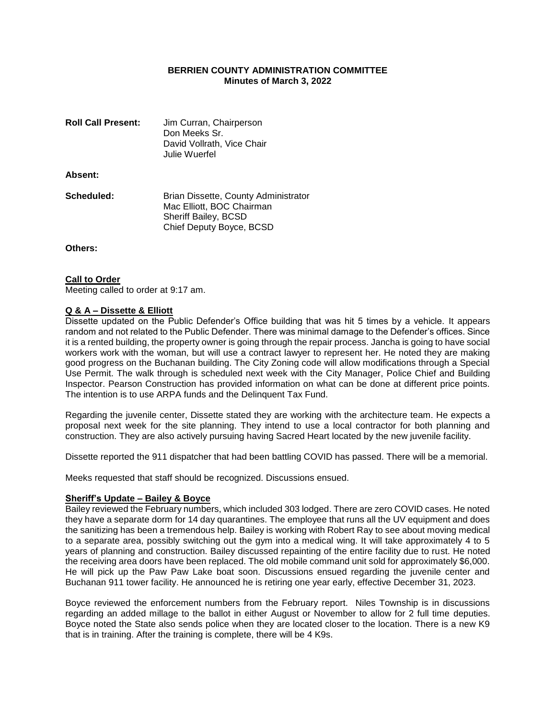# **BERRIEN COUNTY ADMINISTRATION COMMITTEE Minutes of March 3, 2022**

| <b>Roll Call Present:</b> | Jim Curran, Chairperson<br>Don Meeks Sr.<br>David Vollrath, Vice Chair<br>Julie Wuerfel                               |
|---------------------------|-----------------------------------------------------------------------------------------------------------------------|
| Absent:                   |                                                                                                                       |
| Scheduled:                | Brian Dissette, County Administrator<br>Mac Elliott, BOC Chairman<br>Sheriff Bailey, BCSD<br>Chief Deputy Boyce, BCSD |

**Others:**

### **Call to Order**

Meeting called to order at 9:17 am.

### **Q & A – Dissette & Elliott**

Dissette updated on the Public Defender's Office building that was hit 5 times by a vehicle. It appears random and not related to the Public Defender. There was minimal damage to the Defender's offices. Since it is a rented building, the property owner is going through the repair process. Jancha is going to have social workers work with the woman, but will use a contract lawyer to represent her. He noted they are making good progress on the Buchanan building. The City Zoning code will allow modifications through a Special Use Permit. The walk through is scheduled next week with the City Manager, Police Chief and Building Inspector. Pearson Construction has provided information on what can be done at different price points. The intention is to use ARPA funds and the Delinquent Tax Fund.

Regarding the juvenile center, Dissette stated they are working with the architecture team. He expects a proposal next week for the site planning. They intend to use a local contractor for both planning and construction. They are also actively pursuing having Sacred Heart located by the new juvenile facility.

Dissette reported the 911 dispatcher that had been battling COVID has passed. There will be a memorial.

Meeks requested that staff should be recognized. Discussions ensued.

### **Sheriff's Update – Bailey & Boyce**

Bailey reviewed the February numbers, which included 303 lodged. There are zero COVID cases. He noted they have a separate dorm for 14 day quarantines. The employee that runs all the UV equipment and does the sanitizing has been a tremendous help. Bailey is working with Robert Ray to see about moving medical to a separate area, possibly switching out the gym into a medical wing. It will take approximately 4 to 5 years of planning and construction. Bailey discussed repainting of the entire facility due to rust. He noted the receiving area doors have been replaced. The old mobile command unit sold for approximately \$6,000. He will pick up the Paw Paw Lake boat soon. Discussions ensued regarding the juvenile center and Buchanan 911 tower facility. He announced he is retiring one year early, effective December 31, 2023.

Boyce reviewed the enforcement numbers from the February report. Niles Township is in discussions regarding an added millage to the ballot in either August or November to allow for 2 full time deputies. Boyce noted the State also sends police when they are located closer to the location. There is a new K9 that is in training. After the training is complete, there will be 4 K9s.